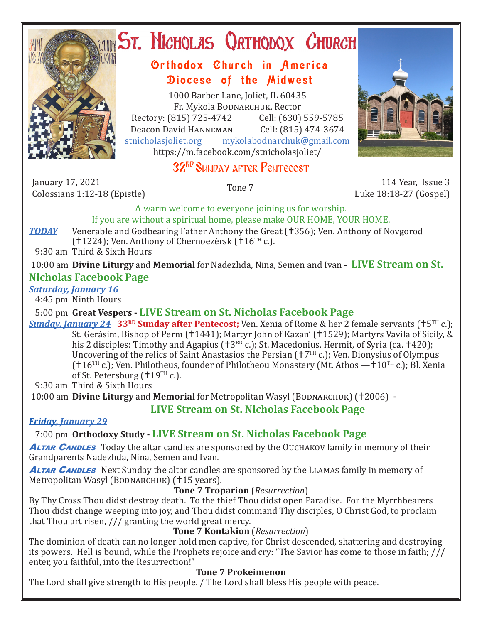

# **ST. NICHOLAS QRTHODOX CHURCH**

# Orthodox Church in America Diocese of the Midwest

1000 Barber Lane, Joliet, IL 60435 Fr. Mykola Bodnarchuk, Rector Rectory: (815) 725-4742 Cell: (630) 559-5785<br>Deacon David HANNEMAN Cell: (815) 474-3674 Deacon David Hanneman<br>stnicholasioliet.org mykola mykolabodnarchuk@gmail.com https://m.facebook.com/stnicholasjoliet/

# 32<sup>BD</sup> SUNDAY AFTER PENTECOST

January 17, 2021 France 17, 2021 anuary 17, 2021<br>Colossians 1:12-18 (Epistle) Tone 7 114 Year, Issue 3

Luke 18:18-27 (Gospel)

A warm welcome to everyone joining us for worship.

If you are without a spiritual home, please make OUR HOME, YOUR HOME.

*TODAY* Venerable and Godbearing Father Anthony the Great (†356); Ven. Anthony of Novgorod (†1224); Ven. Anthony of Chernoezérsk (†16 $TH$  c.).

9:30 am Third & Sixth Hours

10:00 am **Divine Liturgy** and **Memorial** for Nadezhda, Nina, Semen and Ivan **- LIVE Stream on St.** 

## **Nicholas Facebook Page**

### *Saturday, January 16*

4:45 pm Ninth Hours

## 5:00 pm **Great Vespers - LIVE Stream on St. Nicholas Facebook Page**

**Sunday, January 24** 33RD **Sunday after Pentecost;** Ven. Xenia of Rome & her 2 female servants († 5<sup>TH</sup> c.); St. Gerásim, Bishop of Perm (†1441); Martyr John of Kazan' (†1529); Martyrs Vavíla of Sicily, & his 2 disciples: Timothy and Agapius  $(13^{RD}c)$ ; St. Macedonius, Hermit, of Syria (ca. 1420); Uncovering of the relics of Saint Anastasios the Persian (+7TH c.); Ven. Dionysius of Olympus  $(16^{TH} c.)$ ; Ven. Philotheus, founder of Philotheou Monastery (Mt. Athos  $-10^{TH} c$ .); Bl. Xenia of St. Petersburg ( $119<sup>TH</sup>$  c.).

9:30 am Third & Sixth Hours

10:00 am **Divine Liturgy** and **Memorial** for Metropolitan Wasyl (BODNARCHUK) (†2006) -

# **LIVE Stream on St. Nicholas Facebook Page**

## *Friday, January 29*

7:00 pm **Orthodoxy Study - LIVE Stream on St. Nicholas Facebook Page**

**ALTAR CANDLES** Today the altar candles are sponsored by the OUCHAKOV family in memory of their Grandparents Nadezhda, Nina, Semen and Ivan*.*

**ALTAR CANDLES** Next Sunday the altar candles are sponsored by the LLAMAS family in memory of Metropolitan Wasyl (BODNARCHUK) (†15 years).

### **Tone 7 Troparion** (*Resurrection*)

By Thy Cross Thou didst destroy death. To the thief Thou didst open Paradise. For the Myrrhbearers Thou didst change weeping into joy, and Thou didst command Thy disciples, O Christ God, to proclaim that Thou art risen, /// granting the world great mercy.

### **Tone 7 Kontakion** (*Resurrection*)

The dominion of death can no longer hold men captive, for Christ descended, shattering and destroying its powers. Hell is bound, while the Prophets rejoice and cry: "The Savior has come to those in faith; /// enter, you faithful, into the Resurrection!"

## **Tone 7 Prokeimenon**

The Lord shall give strength to His people. / The Lord shall bless His people with peace.